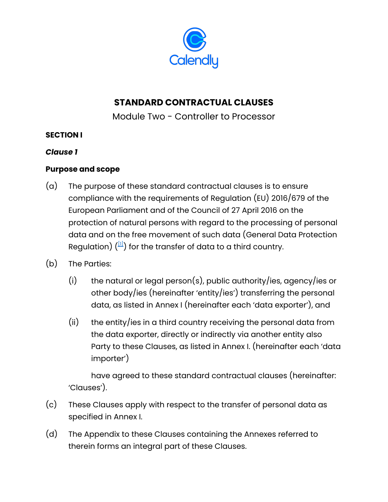

# **STANDARD CONTRACTUAL CLAUSES**

Module Two - Controller to Processor

### **SECTION I**

### *Clause 1*

## **Purpose and scope**

- (a) The purpose of these standard contractual clauses is to ensure compliance with the requirements of Regulation (EU) 2016/679 of the European Parliament and of the Council of 27 April 2016 on the protection of natural persons with regard to the processing of personal data and on the free movement of such data (General Data Protection Regulation)  $\left(\frac{111}{2}\right)$  for the transfer of data to a third country.
- (b) The Parties:
	- (i) the natural or legal person(s), public authority/ies, agency/ies or other body/ies (hereinafter 'entity/ies') transferring the personal data, as listed in Annex I (hereinafter each 'data exporter'), and
	- (ii) the entity/ies in a third country receiving the personal data from the data exporter, directly or indirectly via another entity also Party to these Clauses, as listed in Annex I. (hereinafter each 'data importer')

have agreed to these standard contractual clauses (hereinafter: 'Clauses').

- (c) These Clauses apply with respect to the transfer of personal data as specified in Annex I.
- (d) The Appendix to these Clauses containing the Annexes referred to therein forms an integral part of these Clauses.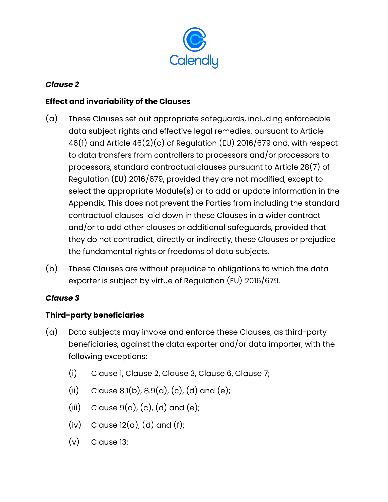

## *Clause 2*

## **Effect and invariability of the Clauses**

- (a) These Clauses set out appropriate safeguards, including enforceable data subject rights and effective legal remedies, pursuant to Article  $46(1)$  and Article  $46(2)(c)$  of Regulation (EU) 2016/679 and, with respect to data transfers from controllers to processors and/or processors to processors, standard contractual clauses pursuant to Article 28(7) of Regulation (EU) 2016/679, provided they are not modified, except to select the appropriate Module(s) or to add or update information in the Appendix. This does not prevent the Parties from including the standard contractual clauses laid down in these Clauses in a wider contract and/or to add other clauses or additional safeguards, provided that they do not contradict, directly or indirectly, these Clauses or prejudice the fundamental rights or freedoms of data subjects.
- (b) These Clauses are without prejudice to obligations to which the data exporter is subject by virtue of Regulation (EU) 2016/679.

## *Clause 3*

## **Third-party beneficiaries**

- (a) Data subjects may invoke and enforce these Clauses, as third-party beneficiaries, against the data exporter and/or data importer, with the following exceptions:
	- (i) Clause 1, Clause 2, Clause 3, Clause 6, Clause 7;
	- (ii) Clause 8.1(b),  $8.9(a)$ , (c), (d) and (e);
	- (iii) Clause  $9(a)$ ,  $(c)$ ,  $(d)$  and  $(e)$ ;
	- $(iv)$  Clause 12 $(a)$ ,  $(d)$  and  $(f)$ ;
	- (v) Clause 13;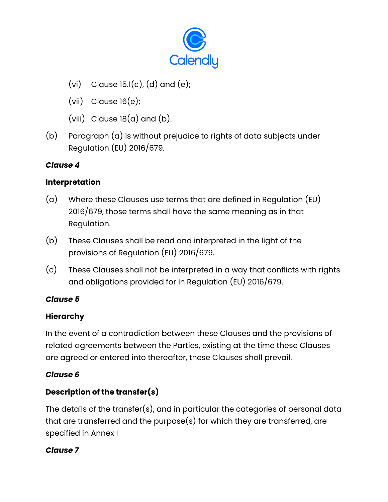

- $(vi)$  Clause 15.1 $(c)$ ,  $(d)$  and  $(e)$ ;
- $(vii)$  Clause 16 $(e)$ ;
- (viii) Clause  $18(a)$  and  $(b)$ .
- (b) Paragraph (a) is without prejudice to rights of data subjects under Regulation (EU) 2016/679.

## *Clause 4*

## **Interpretation**

- (a) Where these Clauses use terms that are defined in Regulation (EU) 2016/679, those terms shall have the same meaning as in that Regulation.
- (b) These Clauses shall be read and interpreted in the light of the provisions of Regulation (EU) 2016/679.
- (c) These Clauses shall not be interpreted in a way that conflicts with rights and obligations provided for in Regulation (EU) 2016/679.

# *Clause 5*

# **Hierarchy**

In the event of a contradiction between these Clauses and the provisions of related agreements between the Parties, existing at the time these Clauses are agreed or entered into thereafter, these Clauses shall prevail.

# *Clause 6*

# **Description of the transfer(s)**

The details of the transfer(s), and in particular the categories of personal data that are transferred and the purpose(s) for which they are transferred, are specified in Annex I

## *Clause 7*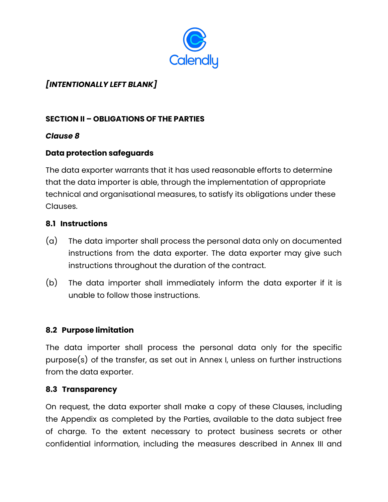

## *[INTENTIONALLY LEFT BLANK]*

### **SECTION II – OBLIGATIONS OF THE PARTIES**

#### *Clause 8*

## **Data protection safeguards**

The data exporter warrants that it has used reasonable efforts to determine that the data importer is able, through the implementation of appropriate technical and organisational measures, to satisfy its obligations under these Clauses.

### **8.1 Instructions**

- (a) The data importer shall process the personal data only on documented instructions from the data exporter. The data exporter may give such instructions throughout the duration of the contract.
- (b) The data importer shall immediately inform the data exporter if it is unable to follow those instructions.

#### **8.2 Purpose limitation**

The data importer shall process the personal data only for the specific purpose(s) of the transfer, as set out in Annex I, unless on further instructions from the data exporter.

#### **8.3 Transparency**

On request, the data exporter shall make a copy of these Clauses, including the Appendix as completed by the Parties, available to the data subject free of charge. To the extent necessary to protect business secrets or other confidential information, including the measures described in Annex III and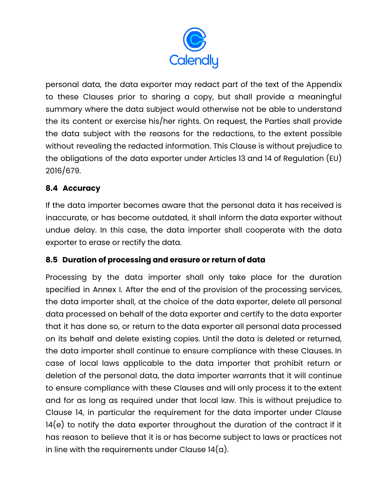

personal data, the data exporter may redact part of the text of the Appendix to these Clauses prior to sharing a copy, but shall provide a meaningful summary where the data subject would otherwise not be able to understand the its content or exercise his/her rights. On request, the Parties shall provide the data subject with the reasons for the redactions, to the extent possible without revealing the redacted information. This Clause is without prejudice to the obligations of the data exporter under Articles 13 and 14 of Regulation (EU) 2016/679.

## **8.4 Accuracy**

If the data importer becomes aware that the personal data it has received is inaccurate, or has become outdated, it shall inform the data exporter without undue delay. In this case, the data importer shall cooperate with the data exporter to erase or rectify the data.

## **8.5 Duration of processing and erasure or return of data**

Processing by the data importer shall only take place for the duration specified in Annex I. After the end of the provision of the processing services, the data importer shall, at the choice of the data exporter, delete all personal data processed on behalf of the data exporter and certify to the data exporter that it has done so, or return to the data exporter all personal data processed on its behalf and delete existing copies. Until the data is deleted or returned, the data importer shall continue to ensure compliance with these Clauses. In case of local laws applicable to the data importer that prohibit return or deletion of the personal data, the data importer warrants that it will continue to ensure compliance with these Clauses and will only process it to the extent and for as long as required under that local law. This is without prejudice to Clause 14, in particular the requirement for the data importer under Clause 14(e) to notify the data exporter throughout the duration of the contract if it has reason to believe that it is or has become subject to laws or practices not in line with the requirements under Clause  $14(a)$ .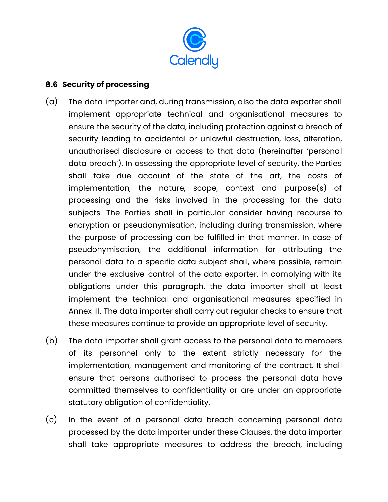

#### **8.6 Security of processing**

- (a) The data importer and, during transmission, also the data exporter shall implement appropriate technical and organisational measures to ensure the security of the data, including protection against a breach of security leading to accidental or unlawful destruction, loss, alteration, unauthorised disclosure or access to that data (hereinafter 'personal data breach'). In assessing the appropriate level of security, the Parties shall take due account of the state of the art, the costs of implementation, the nature, scope, context and purpose(s) of processing and the risks involved in the processing for the data subjects. The Parties shall in particular consider having recourse to encryption or pseudonymisation, including during transmission, where the purpose of processing can be fulfilled in that manner. In case of pseudonymisation, the additional information for attributing the personal data to a specific data subject shall, where possible, remain under the exclusive control of the data exporter. In complying with its obligations under this paragraph, the data importer shall at least implement the technical and organisational measures specified in Annex III. The data importer shall carry out regular checks to ensure that these measures continue to provide an appropriate level of security.
- (b) The data importer shall grant access to the personal data to members of its personnel only to the extent strictly necessary for the implementation, management and monitoring of the contract. It shall ensure that persons authorised to process the personal data have committed themselves to confidentiality or are under an appropriate statutory obligation of confidentiality.
- (c) In the event of a personal data breach concerning personal data processed by the data importer under these Clauses, the data importer shall take appropriate measures to address the breach, including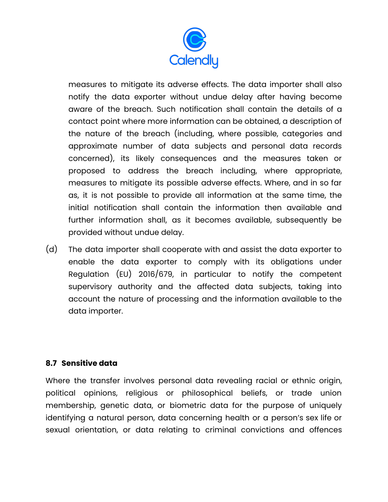

measures to mitigate its adverse effects. The data importer shall also notify the data exporter without undue delay after having become aware of the breach. Such notification shall contain the details of a contact point where more information can be obtained, a description of the nature of the breach (including, where possible, categories and approximate number of data subjects and personal data records concerned), its likely consequences and the measures taken or proposed to address the breach including, where appropriate, measures to mitigate its possible adverse effects. Where, and in so far as, it is not possible to provide all information at the same time, the initial notification shall contain the information then available and further information shall, as it becomes available, subsequently be provided without undue delay.

(d) The data importer shall cooperate with and assist the data exporter to enable the data exporter to comply with its obligations under Regulation (EU) 2016/679, in particular to notify the competent supervisory authority and the affected data subjects, taking into account the nature of processing and the information available to the data importer.

#### **8.7 Sensitive data**

Where the transfer involves personal data revealing racial or ethnic origin, political opinions, religious or philosophical beliefs, or trade union membership, genetic data, or biometric data for the purpose of uniquely identifying a natural person, data concerning health or a person's sex life or sexual orientation, or data relating to criminal convictions and offences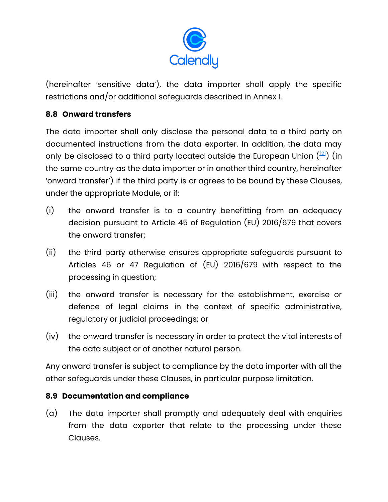

(hereinafter 'sensitive data'), the data importer shall apply the specific restrictions and/or additional safeguards described in Annex I.

## **8.8 Onward transfers**

The data importer shall only disclose the personal data to a third party on documented instructions from the data exporter. In addition, the data may only be disclosed to a third party located outside the European Union  $(^{[2]})$  $(^{[2]})$  $(^{[2]})$  (in the same country as the data importer or in another third country, hereinafter 'onward transfer') if the third party is or agrees to be bound by these Clauses, under the appropriate Module, or if:

- (i) the onward transfer is to a country benefitting from an adequacy decision pursuant to Article 45 of Regulation (EU) 2016/679 that covers the onward transfer;
- (ii) the third party otherwise ensures appropriate safeguards pursuant to Articles 46 or 47 Regulation of (EU) 2016/679 with respect to the processing in question;
- (iii) the onward transfer is necessary for the establishment, exercise or defence of legal claims in the context of specific administrative, regulatory or judicial proceedings; or
- (iv) the onward transfer is necessary in order to protect the vital interests of the data subject or of another natural person.

Any onward transfer is subject to compliance by the data importer with all the other safeguards under these Clauses, in particular purpose limitation.

### **8.9 Documentation and compliance**

(a) The data importer shall promptly and adequately deal with enquiries from the data exporter that relate to the processing under these Clauses.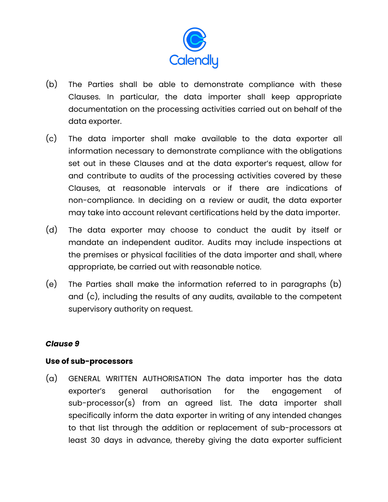

- (b) The Parties shall be able to demonstrate compliance with these Clauses. In particular, the data importer shall keep appropriate documentation on the processing activities carried out on behalf of the data exporter.
- (c) The data importer shall make available to the data exporter all information necessary to demonstrate compliance with the obligations set out in these Clauses and at the data exporter's request, allow for and contribute to audits of the processing activities covered by these Clauses, at reasonable intervals or if there are indications of non-compliance. In deciding on a review or audit, the data exporter may take into account relevant certifications held by the data importer.
- (d) The data exporter may choose to conduct the audit by itself or mandate an independent auditor. Audits may include inspections at the premises or physical facilities of the data importer and shall, where appropriate, be carried out with reasonable notice.
- (e) The Parties shall make the information referred to in paragraphs (b) and (c), including the results of any audits, available to the competent supervisory authority on request.

#### *Clause 9*

#### **Use of sub-processors**

(a) GENERAL WRITTEN AUTHORISATION The data importer has the data exporter's general authorisation for the engagement of sub-processor(s) from an agreed list. The data importer shall specifically inform the data exporter in writing of any intended changes to that list through the addition or replacement of sub-processors at least 30 days in advance, thereby giving the data exporter sufficient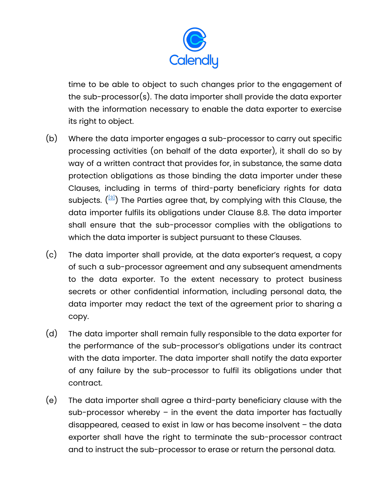

time to be able to object to such changes prior to the engagement of the sub-processor(s). The data importer shall provide the data exporter with the information necessary to enable the data exporter to exercise its right to object.

- (b) Where the data importer engages a sub-processor to carry out specific processing activities (on behalf of the data exporter), it shall do so by way of a written contract that provides for, in substance, the same data protection obligations as those binding the data importer under these Clauses, including in terms of third-party beneficiary rights for data subjects. (BM) The Parties agree that, by complying with this Clause, the data importer fulfils its obligations under Clause 8.8. The data importer shall ensure that the sub-processor complies with the obligations to which the data importer is subject pursuant to these Clauses.
- (c) The data importer shall provide, at the data exporter's request, a copy of such a sub-processor agreement and any subsequent amendments to the data exporter. To the extent necessary to protect business secrets or other confidential information, including personal data, the data importer may redact the text of the agreement prior to sharing a copy.
- (d) The data importer shall remain fully responsible to the data exporter for the performance of the sub-processor's obligations under its contract with the data importer. The data importer shall notify the data exporter of any failure by the sub-processor to fulfil its obligations under that contract.
- (e) The data importer shall agree a third-party beneficiary clause with the sub-processor whereby – in the event the data importer has factually disappeared, ceased to exist in law or has become insolvent – the data exporter shall have the right to terminate the sub-processor contract and to instruct the sub-processor to erase or return the personal data.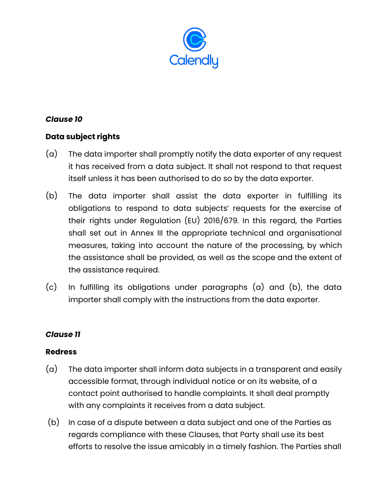

### *Clause 10*

#### **Data subject rights**

- (a) The data importer shall promptly notify the data exporter of any request it has received from a data subject. It shall not respond to that request itself unless it has been authorised to do so by the data exporter.
- (b) The data importer shall assist the data exporter in fulfilling its obligations to respond to data subjects' requests for the exercise of their rights under Regulation (EU) 2016/679. In this regard, the Parties shall set out in Annex III the appropriate technical and organisational measures, taking into account the nature of the processing, by which the assistance shall be provided, as well as the scope and the extent of the assistance required.
- (c) In fulfilling its obligations under paragraphs (a) and (b), the data importer shall comply with the instructions from the data exporter.

#### *Clause 11*

#### **Redress**

- (a) The data importer shall inform data subjects in a transparent and easily accessible format, through individual notice or on its website, of a contact point authorised to handle complaints. It shall deal promptly with any complaints it receives from a data subject.
- (b) In case of a dispute between a data subject and one of the Parties as regards compliance with these Clauses, that Party shall use its best efforts to resolve the issue amicably in a timely fashion. The Parties shall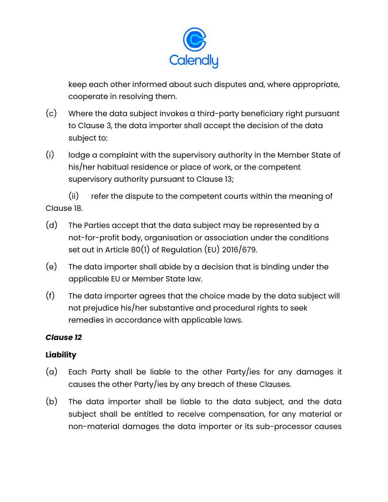

keep each other informed about such disputes and, where appropriate, cooperate in resolving them.

- (c) Where the data subject invokes a third-party beneficiary right pursuant to Clause 3, the data importer shall accept the decision of the data subject to:
- (i) lodge a complaint with the supervisory authority in the Member State of his/her habitual residence or place of work, or the competent supervisory authority pursuant to Clause 13;

(ii) refer the dispute to the competent courts within the meaning of Clause 18.

- (d) The Parties accept that the data subject may be represented by a not-for-profit body, organisation or association under the conditions set out in Article 80(1) of Regulation (EU) 2016/679.
- (e) The data importer shall abide by a decision that is binding under the applicable EU or Member State law.
- (f) The data importer agrees that the choice made by the data subject will not prejudice his/her substantive and procedural rights to seek remedies in accordance with applicable laws.

### *Clause 12*

## **Liability**

- (a) Each Party shall be liable to the other Party/ies for any damages it causes the other Party/ies by any breach of these Clauses.
- (b) The data importer shall be liable to the data subject, and the data subject shall be entitled to receive compensation, for any material or non-material damages the data importer or its sub-processor causes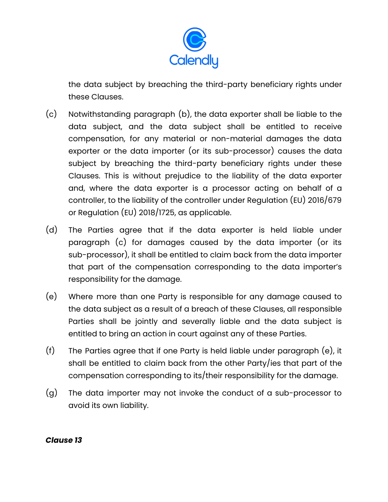

the data subject by breaching the third-party beneficiary rights under these Clauses.

- (c) Notwithstanding paragraph (b), the data exporter shall be liable to the data subject, and the data subject shall be entitled to receive compensation, for any material or non-material damages the data exporter or the data importer (or its sub-processor) causes the data subject by breaching the third-party beneficiary rights under these Clauses. This is without prejudice to the liability of the data exporter and, where the data exporter is a processor acting on behalf of a controller, to the liability of the controller under Regulation (EU) 2016/679 or Regulation (EU) 2018/1725, as applicable.
- (d) The Parties agree that if the data exporter is held liable under paragraph (c) for damages caused by the data importer (or its sub-processor), it shall be entitled to claim back from the data importer that part of the compensation corresponding to the data importer's responsibility for the damage.
- (e) Where more than one Party is responsible for any damage caused to the data subject as a result of a breach of these Clauses, all responsible Parties shall be jointly and severally liable and the data subject is entitled to bring an action in court against any of these Parties.
- (f) The Parties agree that if one Party is held liable under paragraph (e), it shall be entitled to claim back from the other Party/ies that part of the compensation corresponding to its/their responsibility for the damage.
- (g) The data importer may not invoke the conduct of a sub-processor to avoid its own liability.

#### *Clause 13*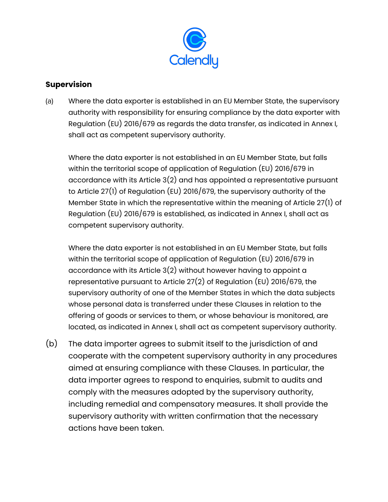

#### **Supervision**

(a) Where the data exporter is established in an EU Member State, the supervisory authority with responsibility for ensuring compliance by the data exporter with Regulation (EU) 2016/679 as regards the data transfer, as indicated in Annex I, shall act as competent supervisory authority.

Where the data exporter is not established in an EU Member State, but falls within the territorial scope of application of Regulation (EU) 2016/679 in accordance with its Article 3(2) and has appointed a representative pursuant to Article 27(1) of Regulation (EU) 2016/679, the supervisory authority of the Member State in which the representative within the meaning of Article 27(1) of Regulation (EU) 2016/679 is established, as indicated in Annex I, shall act as competent supervisory authority.

Where the data exporter is not established in an EU Member State, but falls within the territorial scope of application of Regulation (EU) 2016/679 in accordance with its Article  $3(2)$  without however having to appoint a representative pursuant to Article 27(2) of Regulation (EU) 2016/679, the supervisory authority of one of the Member States in which the data subjects whose personal data is transferred under these Clauses in relation to the offering of goods or services to them, or whose behaviour is monitored, are located, as indicated in Annex I, shall act as competent supervisory authority.

(b) The data importer agrees to submit itself to the jurisdiction of and cooperate with the competent supervisory authority in any procedures aimed at ensuring compliance with these Clauses. In particular, the data importer agrees to respond to enquiries, submit to audits and comply with the measures adopted by the supervisory authority, including remedial and compensatory measures. It shall provide the supervisory authority with written confirmation that the necessary actions have been taken.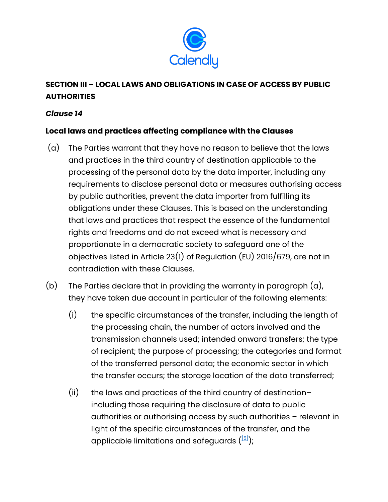

# **SECTION III – LOCAL LAWS AND OBLIGATIONS IN CASE OF ACCESS BY PUBLIC AUTHORITIES**

#### *Clause 14*

## **Local laws and practices affecting compliance with the Clauses**

- (a) The Parties warrant that they have no reason to believe that the laws and practices in the third country of destination applicable to the processing of the personal data by the data importer, including any requirements to disclose personal data or measures authorising access by public authorities, prevent the data importer from fulfilling its obligations under these Clauses. This is based on the understanding that laws and practices that respect the essence of the fundamental rights and freedoms and do not exceed what is necessary and proportionate in a democratic society to safeguard one of the objectives listed in Article 23(1) of Regulation (EU) 2016/679, are not in contradiction with these Clauses.
- (b) The Parties declare that in providing the warranty in paragraph (a), they have taken due account in particular of the following elements:
	- (i) the specific circumstances of the transfer, including the length of the processing chain, the number of actors involved and the transmission channels used; intended onward transfers; the type of recipient; the purpose of processing; the categories and format of the transferred personal data; the economic sector in which the transfer occurs; the storage location of the data transferred;
	- (ii) the laws and practices of the third country of destination– including those requiring the disclosure of data to public authorities or authorising access by such authorities – relevant in light of the specific circumstances of the transfer, and the applicable limitations and safeguards ( [\[5\]](https://usc-word-edit.officeapps.live.com/we/wordeditorframe.aspx?new=1&ui=en%2DUS&rs=en%2DUS&wopisrc=https%3A%2F%2Fsklis-my.sharepoint.com%2Fpersonal%2Fadeola_sokunbi_calendly-internal_com%2F_vti_bin%2Fwopi.ashx%2Ffiles%2Ff97f27a4f99f4f789af2024b9dec2623&wdprevioussession=bef08b6d%2Dbf7e%2D4b2c%2Db5b4%2D445042ef3be7&wdnewandopenct=1642620304960&wdo=4&wdorigin=wacFileNew&wdtpl=blank&wdlcid=1033&wdpreviouscorrelation=b5c44e00%2D1128%2D42b9%2Da0a1%2Da2a3834f44ff&wdenableroaming=1&mscc=1&wdodb=1&hid=995F18A0-20A8-C000-B5AA-DDEABEE00BC7&jsapi=1&jsapiver=v1&newsession=1&corrid=0b9c4bf2-538e-409e-9dcd-f19012537d41&usid=0b9c4bf2-538e-409e-9dcd-f19012537d41&sftc=1&mtf=1&sfp=1&wdredirectionreason=Unified_SingleFlush&rct=Medium&ctp=LeastProtected#_edn5) );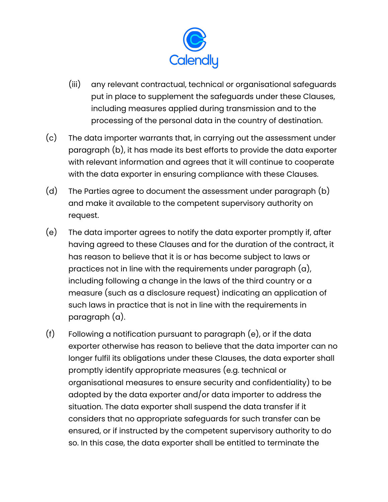

- (iii) any relevant contractual, technical or organisational safeguards put in place to supplement the safeguards under these Clauses, including measures applied during transmission and to the processing of the personal data in the country of destination.
- (c) The data importer warrants that, in carrying out the assessment under paragraph (b), it has made its best efforts to provide the data exporter with relevant information and agrees that it will continue to cooperate with the data exporter in ensuring compliance with these Clauses.
- (d) The Parties agree to document the assessment under paragraph (b) and make it available to the competent supervisory authority on request.
- (e) The data importer agrees to notify the data exporter promptly if, after having agreed to these Clauses and for the duration of the contract, it has reason to believe that it is or has become subject to laws or practices not in line with the requirements under paragraph (a), including following a change in the laws of the third country or a measure (such as a disclosure request) indicating an application of such laws in practice that is not in line with the requirements in paragraph (a).
- (f) Following a notification pursuant to paragraph (e), or if the data exporter otherwise has reason to believe that the data importer can no longer fulfil its obligations under these Clauses, the data exporter shall promptly identify appropriate measures (e.g. technical or organisational measures to ensure security and confidentiality) to be adopted by the data exporter and/or data importer to address the situation. The data exporter shall suspend the data transfer if it considers that no appropriate safeguards for such transfer can be ensured, or if instructed by the competent supervisory authority to do so. In this case, the data exporter shall be entitled to terminate the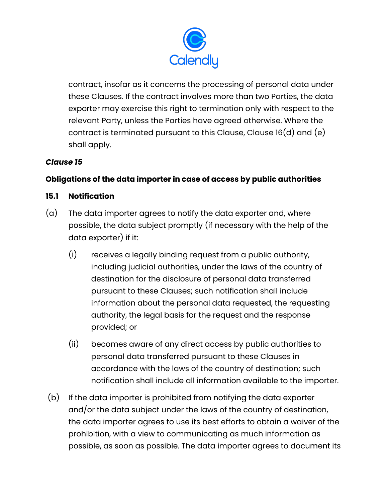

contract, insofar as it concerns the processing of personal data under these Clauses. If the contract involves more than two Parties, the data exporter may exercise this right to termination only with respect to the relevant Party, unless the Parties have agreed otherwise. Where the contract is terminated pursuant to this Clause, Clause 16(d) and (e) shall apply.

### *Clause 15*

## **Obligations of the data importer in case of access by public authorities**

### **15.1 Notification**

- (a) The data importer agrees to notify the data exporter and, where possible, the data subject promptly (if necessary with the help of the data exporter) if it:
	- (i) receives a legally binding request from a public authority, including judicial authorities, under the laws of the country of destination for the disclosure of personal data transferred pursuant to these Clauses; such notification shall include information about the personal data requested, the requesting authority, the legal basis for the request and the response provided; or
	- (ii) becomes aware of any direct access by public authorities to personal data transferred pursuant to these Clauses in accordance with the laws of the country of destination; such notification shall include all information available to the importer.
- (b) If the data importer is prohibited from notifying the data exporter and/or the data subject under the laws of the country of destination, the data importer agrees to use its best efforts to obtain a waiver of the prohibition, with a view to communicating as much information as possible, as soon as possible. The data importer agrees to document its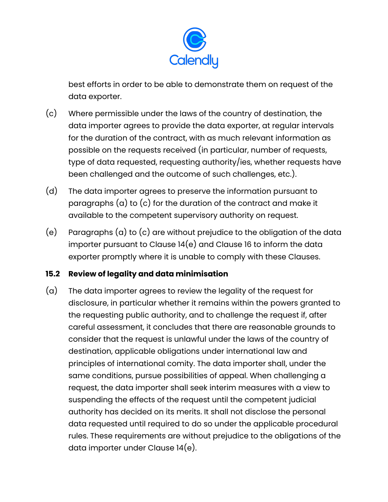

best efforts in order to be able to demonstrate them on request of the data exporter.

- (c) Where permissible under the laws of the country of destination, the data importer agrees to provide the data exporter, at regular intervals for the duration of the contract, with as much relevant information as possible on the requests received (in particular, number of requests, type of data requested, requesting authority/ies, whether requests have been challenged and the outcome of such challenges, etc.).
- (d) The data importer agrees to preserve the information pursuant to paragraphs (a) to (c) for the duration of the contract and make it available to the competent supervisory authority on request.
- (e) Paragraphs (a) to (c) are without prejudice to the obligation of the data importer pursuant to Clause  $14(e)$  and Clause 16 to inform the data exporter promptly where it is unable to comply with these Clauses.

### **15.2 Review of legality and data minimisation**

(a) The data importer agrees to review the legality of the request for disclosure, in particular whether it remains within the powers granted to the requesting public authority, and to challenge the request if, after careful assessment, it concludes that there are reasonable grounds to consider that the request is unlawful under the laws of the country of destination, applicable obligations under international law and principles of international comity. The data importer shall, under the same conditions, pursue possibilities of appeal. When challenging a request, the data importer shall seek interim measures with a view to suspending the effects of the request until the competent judicial authority has decided on its merits. It shall not disclose the personal data requested until required to do so under the applicable procedural rules. These requirements are without prejudice to the obligations of the data importer under Clause 14(e).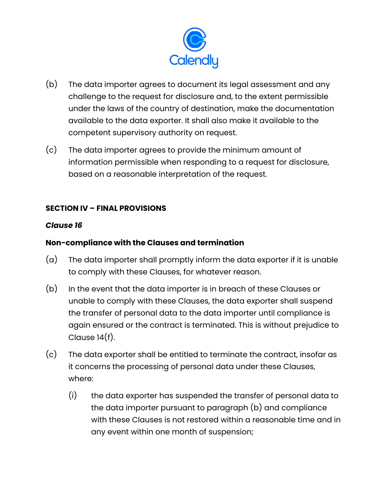

- (b) The data importer agrees to document its legal assessment and any challenge to the request for disclosure and, to the extent permissible under the laws of the country of destination, make the documentation available to the data exporter. It shall also make it available to the competent supervisory authority on request.
- (c) The data importer agrees to provide the minimum amount of information permissible when responding to a request for disclosure, based on a reasonable interpretation of the request.

#### **SECTION IV – FINAL PROVISIONS**

#### *Clause 16*

#### **Non-compliance with the Clauses and termination**

- (a) The data importer shall promptly inform the data exporter if it is unable to comply with these Clauses, for whatever reason.
- (b) In the event that the data importer is in breach of these Clauses or unable to comply with these Clauses, the data exporter shall suspend the transfer of personal data to the data importer until compliance is again ensured or the contract is terminated. This is without prejudice to Clause  $14(f)$ .
- (c) The data exporter shall be entitled to terminate the contract, insofar as it concerns the processing of personal data under these Clauses, where:
	- (i) the data exporter has suspended the transfer of personal data to the data importer pursuant to paragraph (b) and compliance with these Clauses is not restored within a reasonable time and in any event within one month of suspension;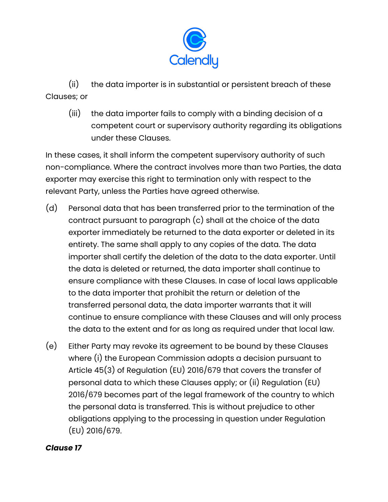

(ii) the data importer is in substantial or persistent breach of these Clauses; or

(iii) the data importer fails to comply with a binding decision of a competent court or supervisory authority regarding its obligations under these Clauses.

In these cases, it shall inform the competent supervisory authority of such non-compliance. Where the contract involves more than two Parties, the data exporter may exercise this right to termination only with respect to the relevant Party, unless the Parties have agreed otherwise.

- (d) Personal data that has been transferred prior to the termination of the contract pursuant to paragraph (c) shall at the choice of the data exporter immediately be returned to the data exporter or deleted in its entirety. The same shall apply to any copies of the data. The data importer shall certify the deletion of the data to the data exporter. Until the data is deleted or returned, the data importer shall continue to ensure compliance with these Clauses. In case of local laws applicable to the data importer that prohibit the return or deletion of the transferred personal data, the data importer warrants that it will continue to ensure compliance with these Clauses and will only process the data to the extent and for as long as required under that local law.
- (e) Either Party may revoke its agreement to be bound by these Clauses where (i) the European Commission adopts a decision pursuant to Article 45(3) of Regulation (EU) 2016/679 that covers the transfer of personal data to which these Clauses apply; or (ii) Regulation (EU) 2016/679 becomes part of the legal framework of the country to which the personal data is transferred. This is without prejudice to other obligations applying to the processing in question under Regulation (EU) 2016/679.

### *Clause 17*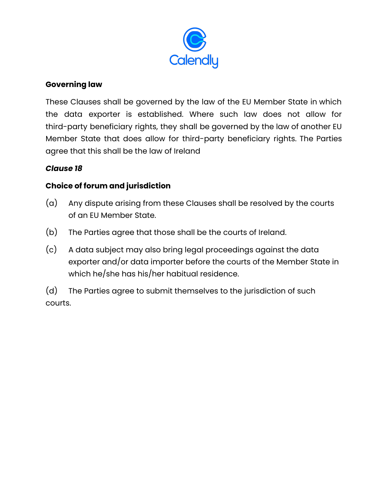

#### **Governing law**

These Clauses shall be governed by the law of the EU Member State in which the data exporter is established. Where such law does not allow for third-party beneficiary rights, they shall be governed by the law of another EU Member State that does allow for third-party beneficiary rights. The Parties agree that this shall be the law of Ireland

### *Clause 18*

### **Choice of forum and jurisdiction**

- (a) Any dispute arising from these Clauses shall be resolved by the courts of an EU Member State.
- (b) The Parties agree that those shall be the courts of Ireland.
- (c) A data subject may also bring legal proceedings against the data exporter and/or data importer before the courts of the Member State in which he/she has his/her habitual residence.

(d) The Parties agree to submit themselves to the jurisdiction of such courts.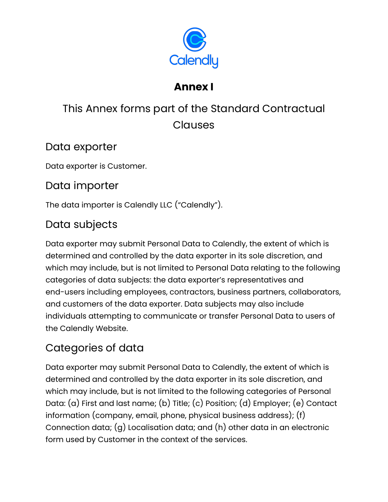

# **Annex I**

# This Annex forms part of the Standard Contractual Clauses

# Data exporter

Data exporter is Customer.

# Data importer

The data importer is Calendly LLC ("Calendly").

# Data subjects

Data exporter may submit Personal Data to Calendly, the extent of which is determined and controlled by the data exporter in its sole discretion, and which may include, but is not limited to Personal Data relating to the following categories of data subjects: the data exporter's representatives and end-users including employees, contractors, business partners, collaborators, and customers of the data exporter. Data subjects may also include individuals attempting to communicate or transfer Personal Data to users of the Calendly Website.

# Categories of data

Data exporter may submit Personal Data to Calendly, the extent of which is determined and controlled by the data exporter in its sole discretion, and which may include, but is not limited to the following categories of Personal Data: (a) First and last name; (b) Title; (c) Position; (d) Employer; (e) Contact information (company, email, phone, physical business address); (f) Connection data; (g) Localisation data; and (h) other data in an electronic form used by Customer in the context of the services.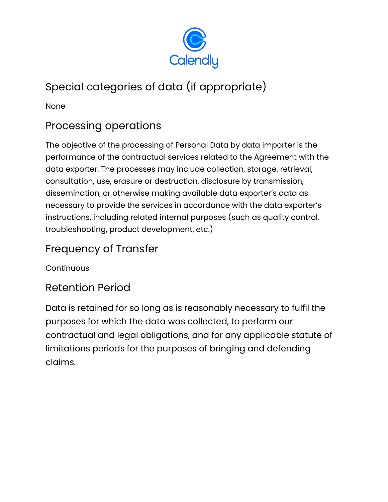

# Special categories of data (if appropriate)

None

# Processing operations

The objective of the processing of Personal Data by data importer is the performance of the contractual services related to the Agreement with the data exporter. The processes may include collection, storage, retrieval, consultation, use, erasure or destruction, disclosure by transmission, dissemination, or otherwise making available data exporter's data as necessary to provide the services in accordance with the data exporter's instructions, including related internal purposes (such as quality control, troubleshooting, product development, etc.)

# Frequency of Transfer

**Continuous** 

# Retention Period

Data is retained for so long as is reasonably necessary to fulfil the purposes for which the data was collected, to perform our contractual and legal obligations, and for any applicable statute of limitations periods for the purposes of bringing and defending claims.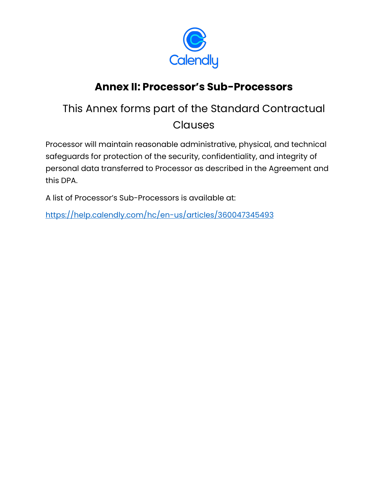

# **Annex II: Processor's Sub-Processors**

# This Annex forms part of the Standard Contractual **Clauses**

Processor will maintain reasonable administrative, physical, and technical safeguards for protection of the security, confidentiality, and integrity of personal data transferred to Processor as described in the Agreement and this DPA.

A list of Processor's Sub-Processors is available at:

<https://help.calendly.com/hc/en-us/articles/360047345493>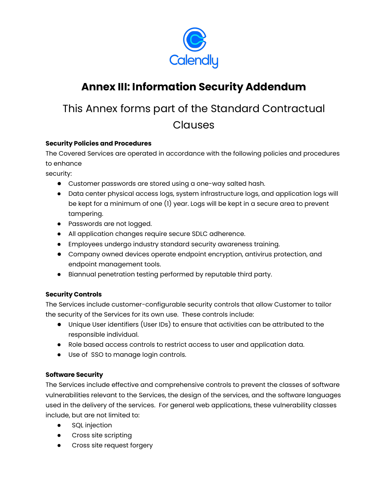

# **Annex III: Information Security Addendum**

# This Annex forms part of the Standard Contractual Clauses

#### **Security Policies and Procedures**

The Covered Services are operated in accordance with the following policies and procedures to enhance

security:

- Customer passwords are stored using a one-way salted hash.
- Data center physical access logs, system infrastructure logs, and application logs will be kept for a minimum of one (1) year. Logs will be kept in a secure area to prevent tampering.
- Passwords are not logged.
- All application changes require secure SDLC adherence.
- Employees undergo industry standard security awareness training.
- Company owned devices operate endpoint encryption, antivirus protection, and endpoint management tools.
- Biannual penetration testing performed by reputable third party.

#### **Security Controls**

The Services include customer-configurable security controls that allow Customer to tailor the security of the Services for its own use. These controls include:

- Unique User identifiers (User IDs) to ensure that activities can be attributed to the responsible individual.
- Role based access controls to restrict access to user and application data.
- Use of SSO to manage login controls.

#### **Software Security**

The Services include effective and comprehensive controls to prevent the classes of software vulnerabilities relevant to the Services, the design of the services, and the software languages used in the delivery of the services. For general web applications, these vulnerability classes include, but are not limited to:

- **SQL** injection
- Cross site scripting
- Cross site request forgery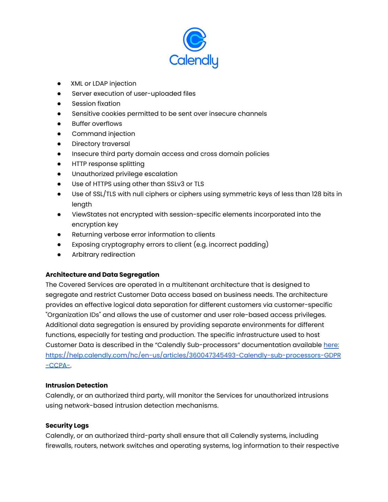

- XML or LDAP injection
- Server execution of user-uploaded files
- **Session fixation**
- Sensitive cookies permitted to be sent over insecure channels
- **Buffer overflows**
- Command injection
- Directory traversal
- Insecure third party domain access and cross domain policies
- HTTP response splitting
- Unauthorized privilege escalation
- Use of HTTPS using other than SSLv3 or TLS
- Use of SSL/TLS with null ciphers or ciphers using symmetric keys of less than 128 bits in length
- ViewStates not encrypted with session-specific elements incorporated into the encryption key
- Returning verbose error information to clients
- Exposing cryptography errors to client (e.g. incorrect padding)
- Arbitrary redirection

#### **Architecture and Data Segregation**

The Covered Services are operated in a multitenant architecture that is designed to segregate and restrict Customer Data access based on business needs. The architecture provides an effective logical data separation for different customers via customer-specific "Organization IDs" and allows the use of customer and user role-based access privileges. Additional data segregation is ensured by providing separate environments for different functions, especially for testing and production. The specific infrastructure used to host Customer Data is described in the "Calendly Sub-processors" documentation available [here:](https://help.calendly.com/hc/en-us/articles/360047345493-Calendly-sub-processors-GDPR-CCPA-) [https://help.calendly.com/hc/en-us/articles/360047345493-Calendly-sub-processors-GDPR](https://help.calendly.com/hc/en-us/articles/360047345493-Calendly-sub-processors-GDPR-CCPA-) [-CCPA-.](https://help.calendly.com/hc/en-us/articles/360047345493-Calendly-sub-processors-GDPR-CCPA-)

#### **Intrusion Detection**

Calendly, or an authorized third party, will monitor the Services for unauthorized intrusions using network-based intrusion detection mechanisms.

#### **Security Logs**

Calendly, or an authorized third-party shall ensure that all Calendly systems, including firewalls, routers, network switches and operating systems, log information to their respective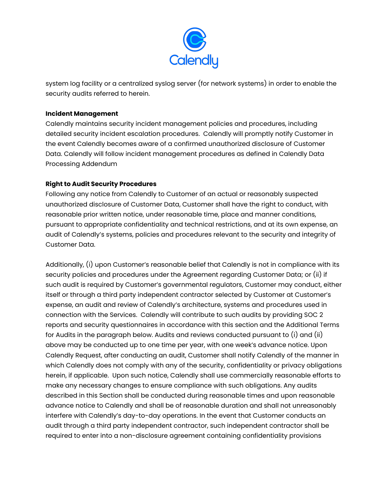

system log facility or a centralized syslog server (for network systems) in order to enable the security audits referred to herein.

#### **Incident Management**

Calendly maintains security incident management policies and procedures, including detailed security incident escalation procedures. Calendly will promptly notify Customer in the event Calendly becomes aware of a confirmed unauthorized disclosure of Customer Data. Calendly will follow incident management procedures as defined in Calendly Data Processing Addendum

#### **Right to Audit Security Procedures**

Following any notice from Calendly to Customer of an actual or reasonably suspected unauthorized disclosure of Customer Data, Customer shall have the right to conduct, with reasonable prior written notice, under reasonable time, place and manner conditions, pursuant to appropriate confidentiality and technical restrictions, and at its own expense, an audit of Calendly's systems, policies and procedures relevant to the security and integrity of Customer Data.

Additionally, (i) upon Customer's reasonable belief that Calendly is not in compliance with its security policies and procedures under the Agreement regarding Customer Data; or (ii) if such audit is required by Customer's governmental regulators, Customer may conduct, either itself or through a third party independent contractor selected by Customer at Customer's expense, an audit and review of Calendly's architecture, systems and procedures used in connection with the Services. Calendly will contribute to such audits by providing SOC 2 reports and security questionnaires in accordance with this section and the Additional Terms for Audits in the paragraph below. Audits and reviews conducted pursuant to (i) and (ii) above may be conducted up to one time per year, with one week's advance notice. Upon Calendly Request, after conducting an audit, Customer shall notify Calendly of the manner in which Calendly does not comply with any of the security, confidentiality or privacy obligations herein, if applicable. Upon such notice, Calendly shall use commercially reasonable efforts to make any necessary changes to ensure compliance with such obligations. Any audits described in this Section shall be conducted during reasonable times and upon reasonable advance notice to Calendly and shall be of reasonable duration and shall not unreasonably interfere with Calendly's day-to-day operations. In the event that Customer conducts an audit through a third party independent contractor, such independent contractor shall be required to enter into a non-disclosure agreement containing confidentiality provisions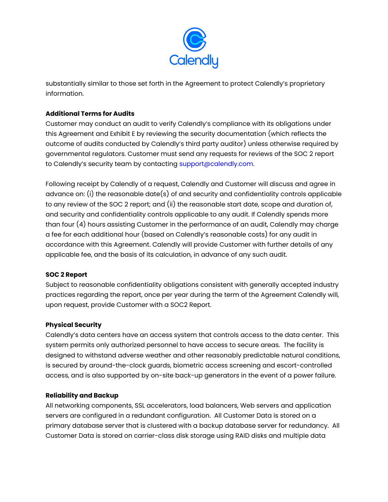

substantially similar to those set forth in the Agreement to protect Calendly's proprietary information.

#### **Additional Terms for Audits**

Customer may conduct an audit to verify Calendly's compliance with its obligations under this Agreement and Exhibit E by reviewing the security documentation (which reflects the outcome of audits conducted by Calendly's third party auditor) unless otherwise required by governmental regulators. Customer must send any requests for reviews of the SOC 2 report to Calendly's security team by contacting support@calendly.com.

Following receipt by Calendly of a request, Calendly and Customer will discuss and agree in advance on: (i) the reasonable date(s) of and security and confidentiality controls applicable to any review of the SOC 2 report; and (ii) the reasonable start date, scope and duration of, and security and confidentiality controls applicable to any audit. If Calendly spends more than four (4) hours assisting Customer in the performance of an audit, Calendly may charge a fee for each additional hour (based on Calendly's reasonable costs) for any audit in accordance with this Agreement. Calendly will provide Customer with further details of any applicable fee, and the basis of its calculation, in advance of any such audit.

#### **SOC 2 Report**

Subject to reasonable confidentiality obligations consistent with generally accepted industry practices regarding the report, once per year during the term of the Agreement Calendly will, upon request, provide Customer with a SOC2 Report.

#### **Physical Security**

Calendly's data centers have an access system that controls access to the data center. This system permits only authorized personnel to have access to secure areas. The facility is designed to withstand adverse weather and other reasonably predictable natural conditions, is secured by around-the-clock guards, biometric access screening and escort-controlled access, and is also supported by on-site back-up generators in the event of a power failure.

#### **Reliability and Backup**

All networking components, SSL accelerators, load balancers, Web servers and application servers are configured in a redundant configuration. All Customer Data is stored on a primary database server that is clustered with a backup database server for redundancy. All Customer Data is stored on carrier-class disk storage using RAID disks and multiple data